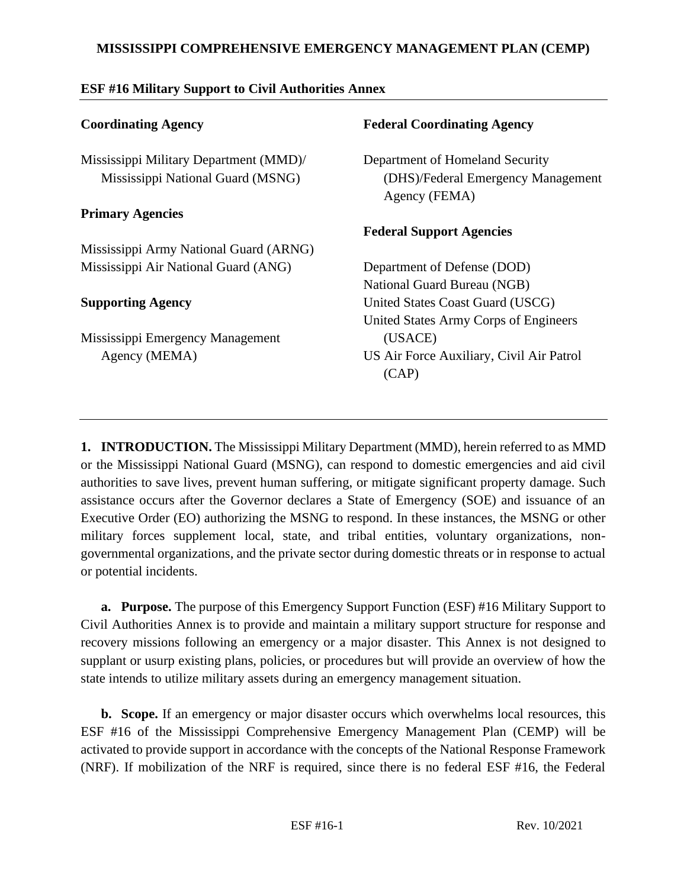### **MISSISSIPPI COMPREHENSIVE EMERGENCY MANAGEMENT PLAN (CEMP)**

| <b>Coordinating Agency</b>             | <b>Federal Coordinating Agency</b>                  |
|----------------------------------------|-----------------------------------------------------|
| Mississippi Military Department (MMD)/ | Department of Homeland Security                     |
| Mississippi National Guard (MSNG)      | (DHS)/Federal Emergency Management<br>Agency (FEMA) |
| <b>Primary Agencies</b>                |                                                     |
|                                        | <b>Federal Support Agencies</b>                     |
| Mississippi Army National Guard (ARNG) |                                                     |
| Mississippi Air National Guard (ANG)   | Department of Defense (DOD)                         |
|                                        | National Guard Bureau (NGB)                         |
| <b>Supporting Agency</b>               | United States Coast Guard (USCG)                    |
|                                        | United States Army Corps of Engineers               |
| Mississippi Emergency Management       | (USACE)                                             |
| Agency (MEMA)                          | US Air Force Auxiliary, Civil Air Patrol            |
|                                        | (CAP)                                               |
|                                        |                                                     |
|                                        |                                                     |
|                                        |                                                     |

### **ESF #16 Military Support to Civil Authorities Annex**

**1. INTRODUCTION.** The Mississippi Military Department (MMD), herein referred to as MMD or the Mississippi National Guard (MSNG), can respond to domestic emergencies and aid civil authorities to save lives, prevent human suffering, or mitigate significant property damage. Such assistance occurs after the Governor declares a State of Emergency (SOE) and issuance of an Executive Order (EO) authorizing the MSNG to respond. In these instances, the MSNG or other military forces supplement local, state, and tribal entities, voluntary organizations, nongovernmental organizations, and the private sector during domestic threats or in response to actual or potential incidents.

**a. Purpose.** The purpose of this Emergency Support Function (ESF) #16 Military Support to Civil Authorities Annex is to provide and maintain a military support structure for response and recovery missions following an emergency or a major disaster. This Annex is not designed to supplant or usurp existing plans, policies, or procedures but will provide an overview of how the state intends to utilize military assets during an emergency management situation.

**b. Scope.** If an emergency or major disaster occurs which overwhelms local resources, this ESF #16 of the Mississippi Comprehensive Emergency Management Plan (CEMP) will be activated to provide support in accordance with the concepts of the National Response Framework (NRF). If mobilization of the NRF is required, since there is no federal ESF #16, the Federal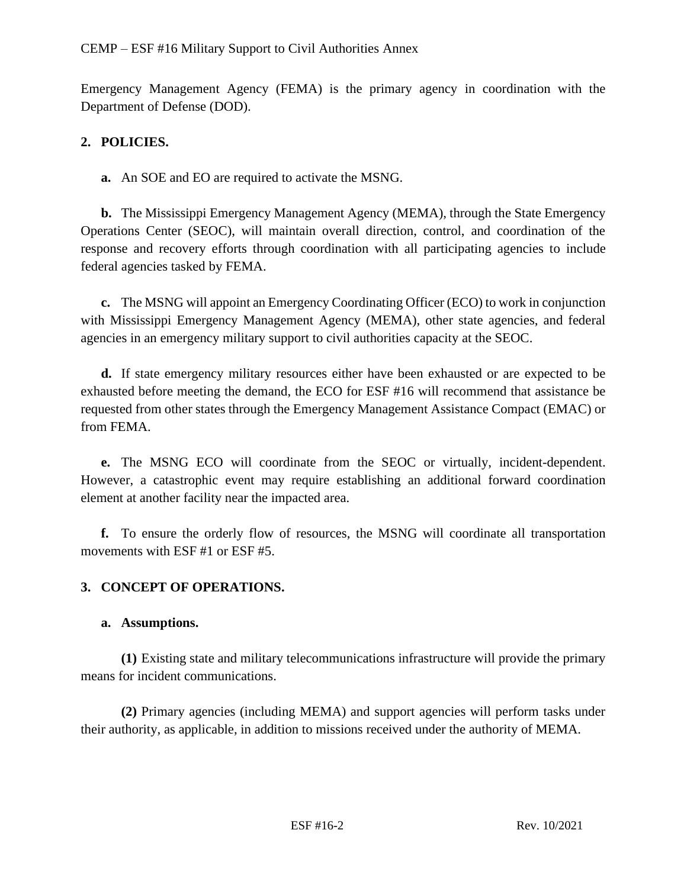Emergency Management Agency (FEMA) is the primary agency in coordination with the Department of Defense (DOD).

# **2. POLICIES.**

**a.** An SOE and EO are required to activate the MSNG.

**b.** The Mississippi Emergency Management Agency (MEMA), through the State Emergency Operations Center (SEOC), will maintain overall direction, control, and coordination of the response and recovery efforts through coordination with all participating agencies to include federal agencies tasked by FEMA.

**c.** The MSNG will appoint an Emergency Coordinating Officer (ECO) to work in conjunction with Mississippi Emergency Management Agency (MEMA), other state agencies, and federal agencies in an emergency military support to civil authorities capacity at the SEOC.

**d.** If state emergency military resources either have been exhausted or are expected to be exhausted before meeting the demand, the ECO for ESF #16 will recommend that assistance be requested from other states through the Emergency Management Assistance Compact (EMAC) or from FEMA.

**e.** The MSNG ECO will coordinate from the SEOC or virtually, incident-dependent. However, a catastrophic event may require establishing an additional forward coordination element at another facility near the impacted area.

**f.** To ensure the orderly flow of resources, the MSNG will coordinate all transportation movements with ESF #1 or ESF #5.

# **3. CONCEPT OF OPERATIONS.**

#### **a. Assumptions.**

**(1)** Existing state and military telecommunications infrastructure will provide the primary means for incident communications.

**(2)** Primary agencies (including MEMA) and support agencies will perform tasks under their authority, as applicable, in addition to missions received under the authority of MEMA.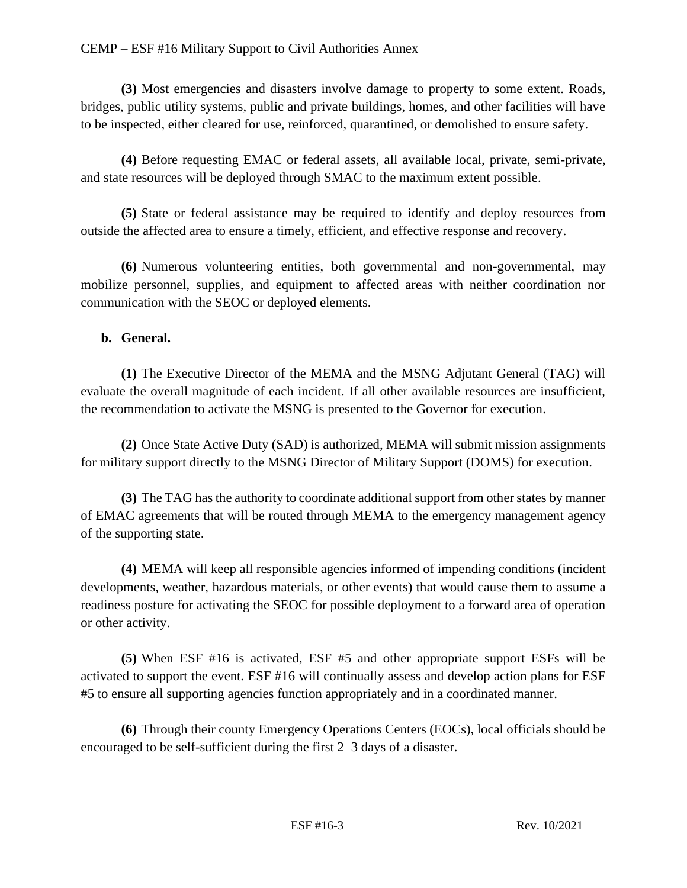#### CEMP – ESF #16 Military Support to Civil Authorities Annex

**(3)** Most emergencies and disasters involve damage to property to some extent. Roads, bridges, public utility systems, public and private buildings, homes, and other facilities will have to be inspected, either cleared for use, reinforced, quarantined, or demolished to ensure safety.

**(4)** Before requesting EMAC or federal assets, all available local, private, semi-private, and state resources will be deployed through SMAC to the maximum extent possible.

**(5)** State or federal assistance may be required to identify and deploy resources from outside the affected area to ensure a timely, efficient, and effective response and recovery.

**(6)** Numerous volunteering entities, both governmental and non-governmental, may mobilize personnel, supplies, and equipment to affected areas with neither coordination nor communication with the SEOC or deployed elements.

#### **b. General.**

**(1)** The Executive Director of the MEMA and the MSNG Adjutant General (TAG) will evaluate the overall magnitude of each incident. If all other available resources are insufficient, the recommendation to activate the MSNG is presented to the Governor for execution.

**(2)** Once State Active Duty (SAD) is authorized, MEMA will submit mission assignments for military support directly to the MSNG Director of Military Support (DOMS) for execution.

**(3)** The TAG has the authority to coordinate additional support from other states by manner of EMAC agreements that will be routed through MEMA to the emergency management agency of the supporting state.

**(4)** MEMA will keep all responsible agencies informed of impending conditions (incident developments, weather, hazardous materials, or other events) that would cause them to assume a readiness posture for activating the SEOC for possible deployment to a forward area of operation or other activity.

**(5)** When ESF #16 is activated, ESF #5 and other appropriate support ESFs will be activated to support the event. ESF #16 will continually assess and develop action plans for ESF #5 to ensure all supporting agencies function appropriately and in a coordinated manner.

**(6)** Through their county Emergency Operations Centers (EOCs), local officials should be encouraged to be self-sufficient during the first 2–3 days of a disaster.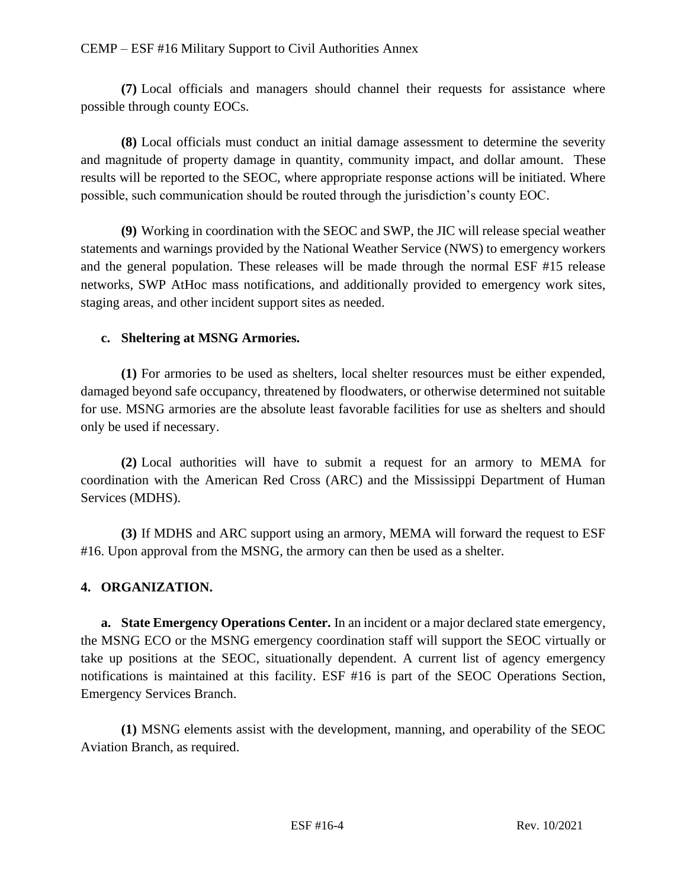**(7)** Local officials and managers should channel their requests for assistance where possible through county EOCs.

**(8)** Local officials must conduct an initial damage assessment to determine the severity and magnitude of property damage in quantity, community impact, and dollar amount. These results will be reported to the SEOC, where appropriate response actions will be initiated. Where possible, such communication should be routed through the jurisdiction's county EOC.

**(9)** Working in coordination with the SEOC and SWP, the JIC will release special weather statements and warnings provided by the National Weather Service (NWS) to emergency workers and the general population. These releases will be made through the normal ESF #15 release networks, SWP AtHoc mass notifications, and additionally provided to emergency work sites, staging areas, and other incident support sites as needed.

# **c. Sheltering at MSNG Armories.**

**(1)** For armories to be used as shelters, local shelter resources must be either expended, damaged beyond safe occupancy, threatened by floodwaters, or otherwise determined not suitable for use. MSNG armories are the absolute least favorable facilities for use as shelters and should only be used if necessary.

**(2)** Local authorities will have to submit a request for an armory to MEMA for coordination with the American Red Cross (ARC) and the Mississippi Department of Human Services (MDHS).

**(3)** If MDHS and ARC support using an armory, MEMA will forward the request to ESF #16. Upon approval from the MSNG, the armory can then be used as a shelter.

# **4. ORGANIZATION.**

**a. State Emergency Operations Center.** In an incident or a major declared state emergency, the MSNG ECO or the MSNG emergency coordination staff will support the SEOC virtually or take up positions at the SEOC, situationally dependent. A current list of agency emergency notifications is maintained at this facility. ESF #16 is part of the SEOC Operations Section, Emergency Services Branch.

**(1)** MSNG elements assist with the development, manning, and operability of the SEOC Aviation Branch, as required.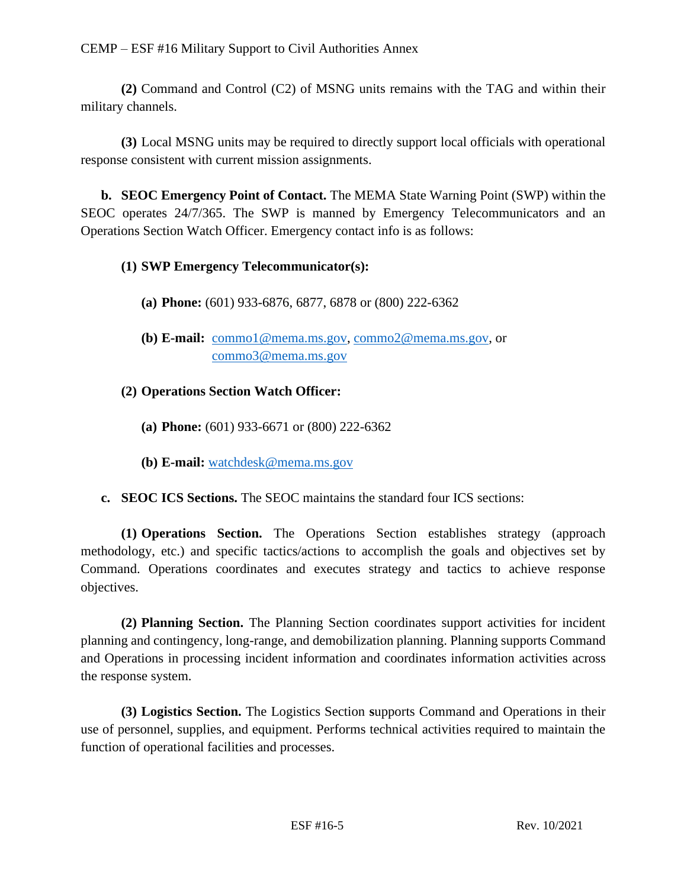**(2)** Command and Control (C2) of MSNG units remains with the TAG and within their military channels.

**(3)** Local MSNG units may be required to directly support local officials with operational response consistent with current mission assignments.

**b. SEOC Emergency Point of Contact.** The MEMA State Warning Point (SWP) within the SEOC operates 24/7/365. The SWP is manned by Emergency Telecommunicators and an Operations Section Watch Officer. Emergency contact info is as follows:

# **(1) SWP Emergency Telecommunicator(s):**

- **(a) Phone:** (601) 933-6876, 6877, 6878 or (800) 222-6362
- **(b) E-mail:** [commo1@mema.ms.gov,](mailto:commo1@mema.ms.gov) [commo2@mema.ms.gov,](mailto:commo2@mema.ms.gov) or [commo3@mema.ms.gov](mailto:commo3@mema.ms.gov)

# **(2) Operations Section Watch Officer:**

- **(a) Phone:** (601) 933-6671 or (800) 222-6362
- **(b) E-mail:** [watchdesk@mema.ms.gov](mailto:watchdesk@mema.ms.gov)
- **c. SEOC ICS Sections.** The SEOC maintains the standard four ICS sections:

**(1) Operations Section.** The Operations Section establishes strategy (approach methodology, etc.) and specific tactics/actions to accomplish the goals and objectives set by Command. Operations coordinates and executes strategy and tactics to achieve response objectives.

**(2) Planning Section.** The Planning Section coordinates support activities for incident planning and contingency, long-range, and demobilization planning. Planning supports Command and Operations in processing incident information and coordinates information activities across the response system.

**(3) Logistics Section.** The Logistics Section **s**upports Command and Operations in their use of personnel, supplies, and equipment. Performs technical activities required to maintain the function of operational facilities and processes.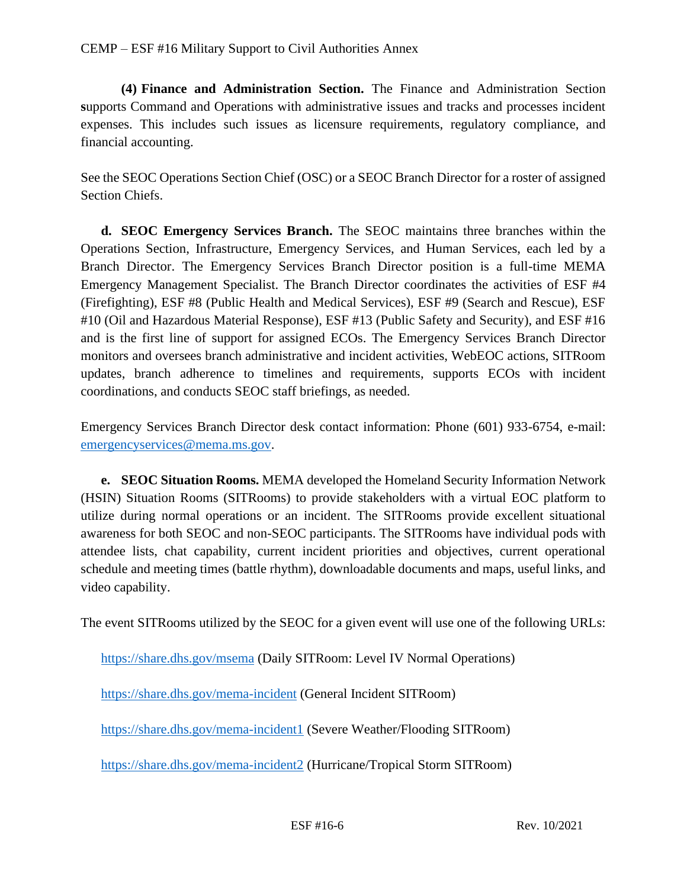**(4) Finance and Administration Section.** The Finance and Administration Section **s**upports Command and Operations with administrative issues and tracks and processes incident expenses. This includes such issues as licensure requirements, regulatory compliance, and financial accounting.

See the SEOC Operations Section Chief (OSC) or a SEOC Branch Director for a roster of assigned Section Chiefs.

**d. SEOC Emergency Services Branch.** The SEOC maintains three branches within the Operations Section, Infrastructure, Emergency Services, and Human Services, each led by a Branch Director. The Emergency Services Branch Director position is a full-time MEMA Emergency Management Specialist. The Branch Director coordinates the activities of ESF #4 (Firefighting), ESF #8 (Public Health and Medical Services), ESF #9 (Search and Rescue), ESF #10 (Oil and Hazardous Material Response), ESF #13 (Public Safety and Security), and ESF #16 and is the first line of support for assigned ECOs. The Emergency Services Branch Director monitors and oversees branch administrative and incident activities, WebEOC actions, SITRoom updates, branch adherence to timelines and requirements, supports ECOs with incident coordinations, and conducts SEOC staff briefings, as needed.

Emergency Services Branch Director desk contact information: Phone (601) 933-6754, e-mail: [emergencyservices@mema.ms.gov.](mailto:emergencyservices@mema.ms.gov)

**e. SEOC Situation Rooms.** MEMA developed the Homeland Security Information Network (HSIN) Situation Rooms (SITRooms) to provide stakeholders with a virtual EOC platform to utilize during normal operations or an incident. The SITRooms provide excellent situational awareness for both SEOC and non-SEOC participants. The SITRooms have individual pods with attendee lists, chat capability, current incident priorities and objectives, current operational schedule and meeting times (battle rhythm), downloadable documents and maps, useful links, and video capability.

The event SITRooms utilized by the SEOC for a given event will use one of the following URLs:

<https://share.dhs.gov/msema> (Daily SITRoom: Level IV Normal Operations)

<https://share.dhs.gov/mema-incident> (General Incident SITRoom)

<https://share.dhs.gov/mema-incident1> (Severe Weather/Flooding SITRoom)

<https://share.dhs.gov/mema-incident2> (Hurricane/Tropical Storm SITRoom)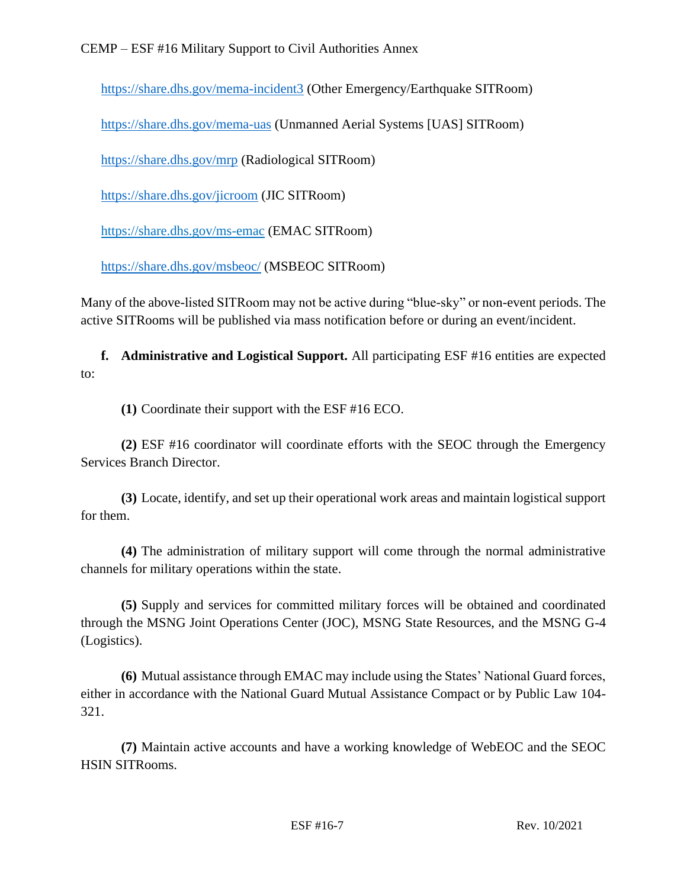### CEMP – ESF #16 Military Support to Civil Authorities Annex

<https://share.dhs.gov/mema-incident3> (Other Emergency/Earthquake SITRoom)

<https://share.dhs.gov/mema-uas> (Unmanned Aerial Systems [UAS] SITRoom)

<https://share.dhs.gov/mrp> (Radiological SITRoom)

<https://share.dhs.gov/jicroom> (JIC SITRoom)

<https://share.dhs.gov/ms-emac> (EMAC SITRoom)

<https://share.dhs.gov/msbeoc/> (MSBEOC SITRoom)

Many of the above-listed SITRoom may not be active during "blue-sky" or non-event periods. The active SITRooms will be published via mass notification before or during an event/incident.

**f. Administrative and Logistical Support.** All participating ESF #16 entities are expected to:

**(1)** Coordinate their support with the ESF #16 ECO.

**(2)** ESF #16 coordinator will coordinate efforts with the SEOC through the Emergency Services Branch Director.

**(3)** Locate, identify, and set up their operational work areas and maintain logistical support for them.

**(4)** The administration of military support will come through the normal administrative channels for military operations within the state.

**(5)** Supply and services for committed military forces will be obtained and coordinated through the MSNG Joint Operations Center (JOC), MSNG State Resources, and the MSNG G-4 (Logistics).

**(6)** Mutual assistance through EMAC may include using the States' National Guard forces, either in accordance with the National Guard Mutual Assistance Compact or by Public Law 104- 321.

**(7)** Maintain active accounts and have a working knowledge of WebEOC and the SEOC HSIN SITRooms.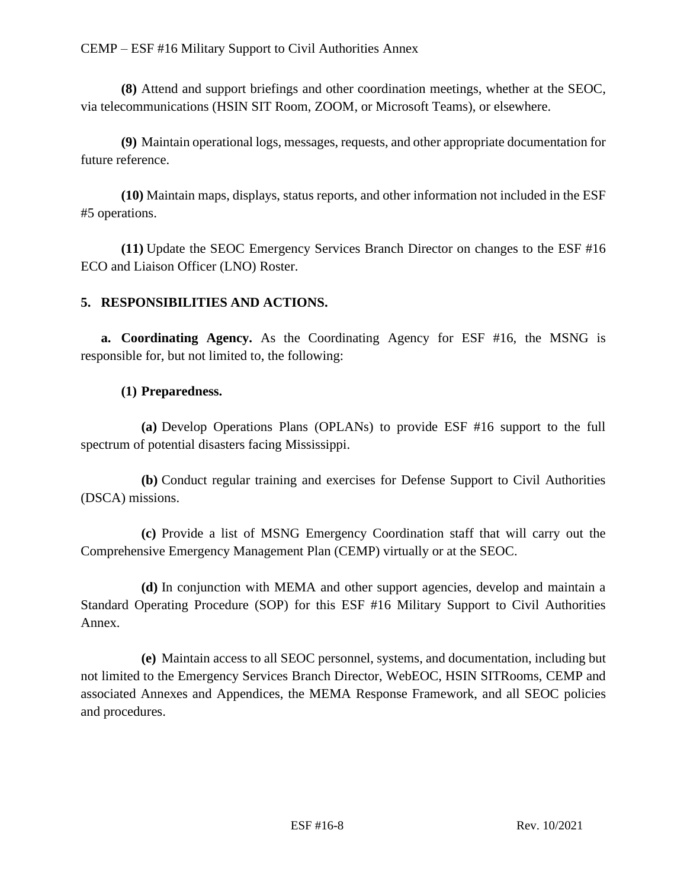**(8)** Attend and support briefings and other coordination meetings, whether at the SEOC, via telecommunications (HSIN SIT Room, ZOOM, or Microsoft Teams), or elsewhere.

**(9)** Maintain operational logs, messages, requests, and other appropriate documentation for future reference.

**(10)** Maintain maps, displays, status reports, and other information not included in the ESF #5 operations.

**(11)** Update the SEOC Emergency Services Branch Director on changes to the ESF #16 ECO and Liaison Officer (LNO) Roster.

# **5. RESPONSIBILITIES AND ACTIONS.**

**a. Coordinating Agency.** As the Coordinating Agency for ESF #16, the MSNG is responsible for, but not limited to, the following:

# **(1) Preparedness.**

**(a)** Develop Operations Plans (OPLANs) to provide ESF #16 support to the full spectrum of potential disasters facing Mississippi.

**(b)** Conduct regular training and exercises for Defense Support to Civil Authorities (DSCA) missions.

**(c)** Provide a list of MSNG Emergency Coordination staff that will carry out the Comprehensive Emergency Management Plan (CEMP) virtually or at the SEOC.

**(d)** In conjunction with MEMA and other support agencies, develop and maintain a Standard Operating Procedure (SOP) for this ESF #16 Military Support to Civil Authorities Annex.

**(e)** Maintain access to all SEOC personnel, systems, and documentation, including but not limited to the Emergency Services Branch Director, WebEOC, HSIN SITRooms, CEMP and associated Annexes and Appendices, the MEMA Response Framework, and all SEOC policies and procedures.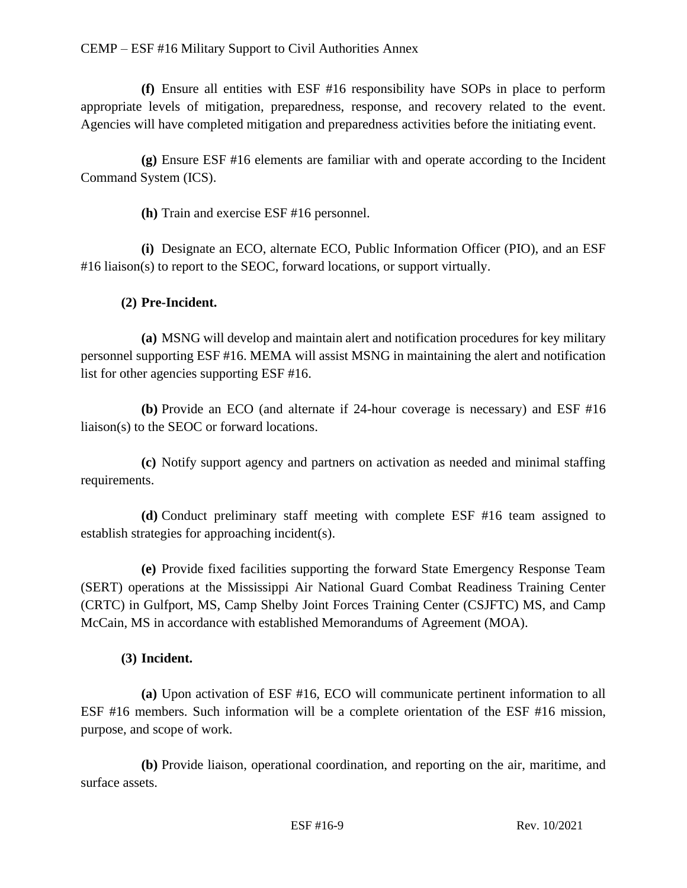**(f)** Ensure all entities with ESF #16 responsibility have SOPs in place to perform appropriate levels of mitigation, preparedness, response, and recovery related to the event. Agencies will have completed mitigation and preparedness activities before the initiating event.

**(g)** Ensure ESF #16 elements are familiar with and operate according to the Incident Command System (ICS).

**(h)** Train and exercise ESF #16 personnel.

**(i)** Designate an ECO, alternate ECO, Public Information Officer (PIO), and an ESF #16 liaison(s) to report to the SEOC, forward locations, or support virtually.

# **(2) Pre-Incident.**

**(a)** MSNG will develop and maintain alert and notification procedures for key military personnel supporting ESF #16. MEMA will assist MSNG in maintaining the alert and notification list for other agencies supporting ESF #16.

**(b)** Provide an ECO (and alternate if 24-hour coverage is necessary) and ESF #16 liaison(s) to the SEOC or forward locations.

**(c)** Notify support agency and partners on activation as needed and minimal staffing requirements.

**(d)** Conduct preliminary staff meeting with complete ESF #16 team assigned to establish strategies for approaching incident(s).

**(e)** Provide fixed facilities supporting the forward State Emergency Response Team (SERT) operations at the Mississippi Air National Guard Combat Readiness Training Center (CRTC) in Gulfport, MS, Camp Shelby Joint Forces Training Center (CSJFTC) MS, and Camp McCain, MS in accordance with established Memorandums of Agreement (MOA).

#### **(3) Incident.**

**(a)** Upon activation of ESF #16, ECO will communicate pertinent information to all ESF #16 members. Such information will be a complete orientation of the ESF #16 mission, purpose, and scope of work.

**(b)** Provide liaison, operational coordination, and reporting on the air, maritime, and surface assets.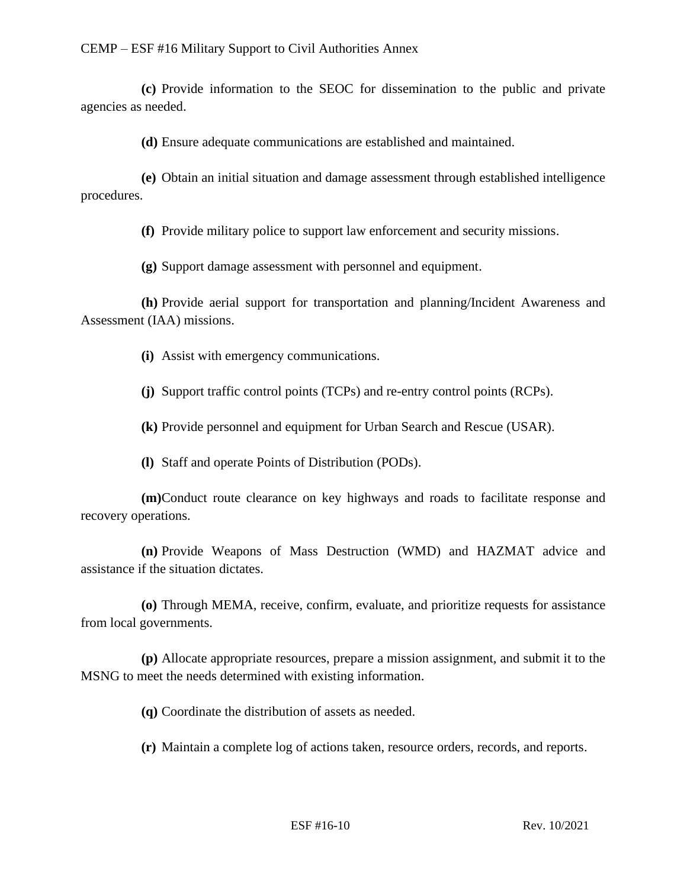**(c)** Provide information to the SEOC for dissemination to the public and private agencies as needed.

**(d)** Ensure adequate communications are established and maintained.

**(e)** Obtain an initial situation and damage assessment through established intelligence procedures.

**(f)** Provide military police to support law enforcement and security missions.

**(g)** Support damage assessment with personnel and equipment.

**(h)** Provide aerial support for transportation and planning/Incident Awareness and Assessment (IAA) missions.

**(i)** Assist with emergency communications.

**(j)** Support traffic control points (TCPs) and re-entry control points (RCPs).

**(k)** Provide personnel and equipment for Urban Search and Rescue (USAR).

**(l)** Staff and operate Points of Distribution (PODs).

**(m)**Conduct route clearance on key highways and roads to facilitate response and recovery operations.

**(n)** Provide Weapons of Mass Destruction (WMD) and HAZMAT advice and assistance if the situation dictates.

**(o)** Through MEMA, receive, confirm, evaluate, and prioritize requests for assistance from local governments.

**(p)** Allocate appropriate resources, prepare a mission assignment, and submit it to the MSNG to meet the needs determined with existing information.

**(q)** Coordinate the distribution of assets as needed.

**(r)** Maintain a complete log of actions taken, resource orders, records, and reports.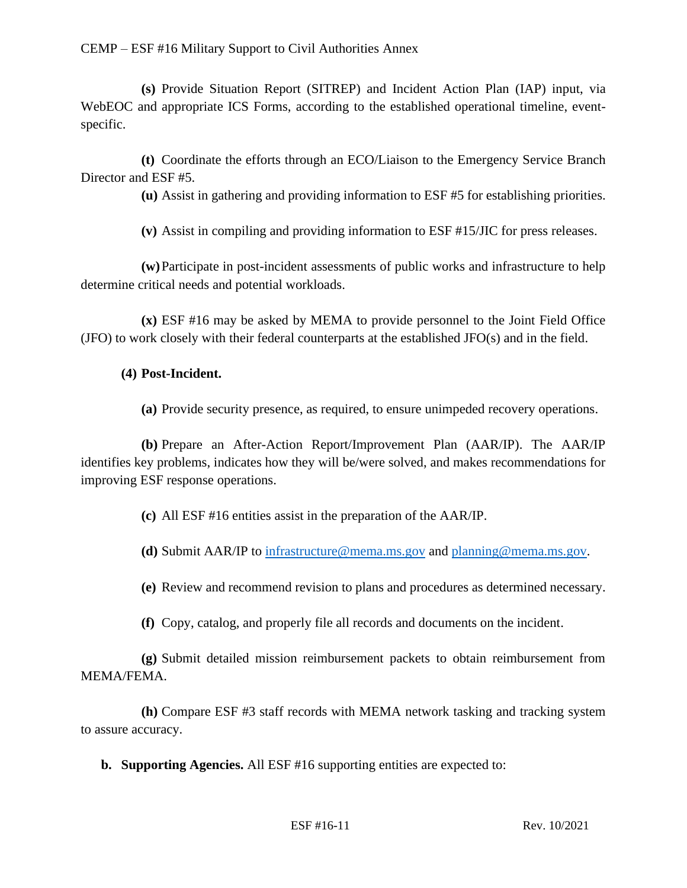#### CEMP – ESF #16 Military Support to Civil Authorities Annex

**(s)** Provide Situation Report (SITREP) and Incident Action Plan (IAP) input, via WebEOC and appropriate ICS Forms, according to the established operational timeline, eventspecific.

**(t)** Coordinate the efforts through an ECO/Liaison to the Emergency Service Branch Director and ESF #5.

**(u)** Assist in gathering and providing information to ESF #5 for establishing priorities.

**(v)** Assist in compiling and providing information to ESF #15/JIC for press releases.

**(w)**Participate in post-incident assessments of public works and infrastructure to help determine critical needs and potential workloads.

**(x)** ESF #16 may be asked by MEMA to provide personnel to the Joint Field Office (JFO) to work closely with their federal counterparts at the established JFO(s) and in the field.

#### **(4) Post-Incident.**

**(a)** Provide security presence, as required, to ensure unimpeded recovery operations.

**(b)** Prepare an After-Action Report/Improvement Plan (AAR/IP). The AAR/IP identifies key problems, indicates how they will be/were solved, and makes recommendations for improving ESF response operations.

**(c)** All ESF #16 entities assist in the preparation of the AAR/IP.

**(d)** Submit AAR/IP to [infrastructure@mema.ms.gov](mailto:infrastructure@mema.ms.gov) and [planning@mema.ms.gov.](mailto:planning@mema.ms.gov)

**(e)** Review and recommend revision to plans and procedures as determined necessary.

**(f)** Copy, catalog, and properly file all records and documents on the incident.

**(g)** Submit detailed mission reimbursement packets to obtain reimbursement from MEMA/FEMA.

**(h)** Compare ESF #3 staff records with MEMA network tasking and tracking system to assure accuracy.

**b. Supporting Agencies.** All ESF #16 supporting entities are expected to: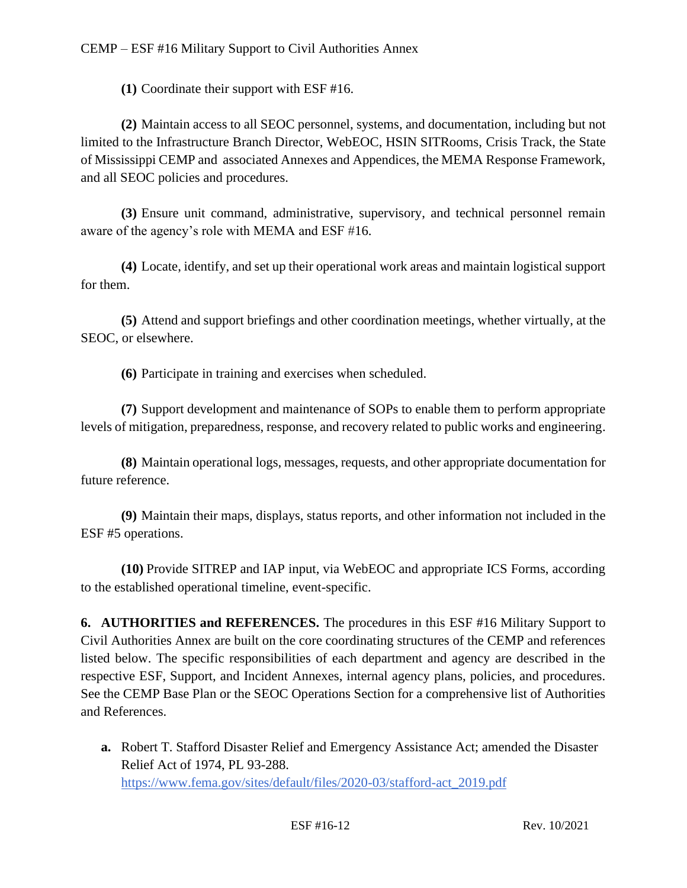**(1)** Coordinate their support with ESF #16.

**(2)** Maintain access to all SEOC personnel, systems, and documentation, including but not limited to the Infrastructure Branch Director, WebEOC, HSIN SITRooms, Crisis Track, the State of Mississippi CEMP and associated Annexes and Appendices, the MEMA Response Framework, and all SEOC policies and procedures.

**(3)** Ensure unit command, administrative, supervisory, and technical personnel remain aware of the agency's role with MEMA and ESF #16.

**(4)** Locate, identify, and set up their operational work areas and maintain logistical support for them.

**(5)** Attend and support briefings and other coordination meetings, whether virtually, at the SEOC, or elsewhere.

**(6)** Participate in training and exercises when scheduled.

**(7)** Support development and maintenance of SOPs to enable them to perform appropriate levels of mitigation, preparedness, response, and recovery related to public works and engineering.

**(8)** Maintain operational logs, messages, requests, and other appropriate documentation for future reference.

**(9)** Maintain their maps, displays, status reports, and other information not included in the ESF #5 operations.

**(10)** Provide SITREP and IAP input, via WebEOC and appropriate ICS Forms, according to the established operational timeline, event-specific.

**6. AUTHORITIES and REFERENCES.** The procedures in this ESF #16 Military Support to Civil Authorities Annex are built on the core coordinating structures of the CEMP and references listed below. The specific responsibilities of each department and agency are described in the respective ESF, Support, and Incident Annexes, internal agency plans, policies, and procedures. See the CEMP Base Plan or the SEOC Operations Section for a comprehensive list of Authorities and References.

**a.** Robert T. Stafford Disaster Relief and Emergency Assistance Act; amended the Disaster Relief Act of 1974, PL 93-288. [https://www.fema.gov/sites/default/files/2020-03/stafford-act\\_2019.pdf](https://www.fema.gov/sites/default/files/2020-03/stafford-act_2019.pdf)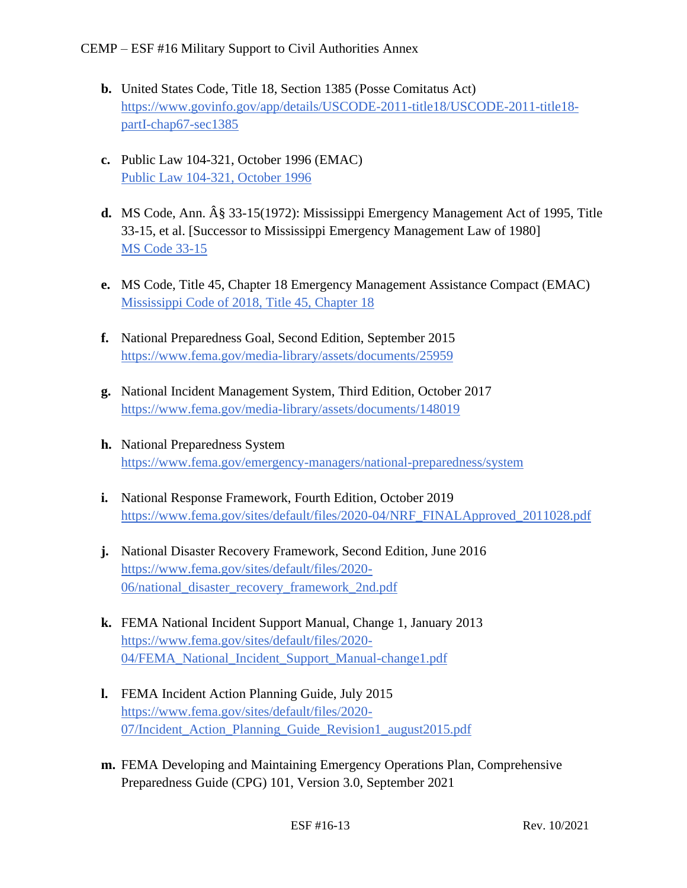- **b.** United States Code, Title 18, Section 1385 (Posse Comitatus Act) [https://www.govinfo.gov/app/details/USCODE-2011-title18/USCODE-2011-title18](https://www.govinfo.gov/app/details/USCODE-2011-title18/USCODE-2011-title18-%20%20%20partI-chap67-sec1385)  [partI-chap67-sec1385](https://www.govinfo.gov/app/details/USCODE-2011-title18/USCODE-2011-title18-%20%20%20partI-chap67-sec1385)
- **c.** Public Law 104-321, October 1996 (EMAC) [Public Law 104-321, October 1996](https://www.congress.gov/104/plaws/publ321/PLAW-104publ321.pdf)
- **d.** MS Code, Ann. § 33-15(1972): Mississippi Emergency Management Act of 1995, Title 33-15, et al. [Successor to Mississippi Emergency Management Law of 1980] [MS Code 33-15](https://law.justia.com/codes/mississippi/2010/title-33/15/)
- **e.** MS Code, Title 45, Chapter 18 Emergency Management Assistance Compact (EMAC) [Mississippi Code of 2018, Title 45, Chapter 18](https://law.justia.com/codes/mississippi/2018/title-45/chapter-18/)
- **f.** National Preparedness Goal, Second Edition, September 2015 <https://www.fema.gov/media-library/assets/documents/25959>
- **g.** National Incident Management System, Third Edition, October 2017 <https://www.fema.gov/media-library/assets/documents/148019>
- **h.** National Preparedness System <https://www.fema.gov/emergency-managers/national-preparedness/system>
- **i.** National Response Framework, Fourth Edition, October 2019 [https://www.fema.gov/sites/default/files/2020-04/NRF\\_FINALApproved\\_2011028.pdf](https://www.fema.gov/sites/default/files/2020-04/NRF_FINALApproved_2011028.pdf)
- **j.** National Disaster Recovery Framework, Second Edition, June 2016 [https://www.fema.gov/sites/default/files/2020-](https://www.fema.gov/sites/default/files/2020-06/national_disaster_recovery_framework_2nd.pdf) [06/national\\_disaster\\_recovery\\_framework\\_2nd.pdf](https://www.fema.gov/sites/default/files/2020-06/national_disaster_recovery_framework_2nd.pdf)
- **k.** FEMA National Incident Support Manual, Change 1, January 2013 [https://www.fema.gov/sites/default/files/2020-](https://www.fema.gov/sites/default/files/2020-04/FEMA_National_Incident_Support_Manual-change1.pdf) [04/FEMA\\_National\\_Incident\\_Support\\_Manual-change1.pdf](https://www.fema.gov/sites/default/files/2020-04/FEMA_National_Incident_Support_Manual-change1.pdf)
- **l.** FEMA Incident Action Planning Guide, July 2015 [https://www.fema.gov/sites/default/files/2020-](https://www.fema.gov/sites/default/files/2020-07/Incident_Action_Planning_Guide_Revision1_august2015.pdf) 07/Incident Action Planning Guide Revision1 august2015.pdf
- **m.** FEMA Developing and Maintaining Emergency Operations Plan, Comprehensive Preparedness Guide (CPG) 101, Version 3.0, September 2021